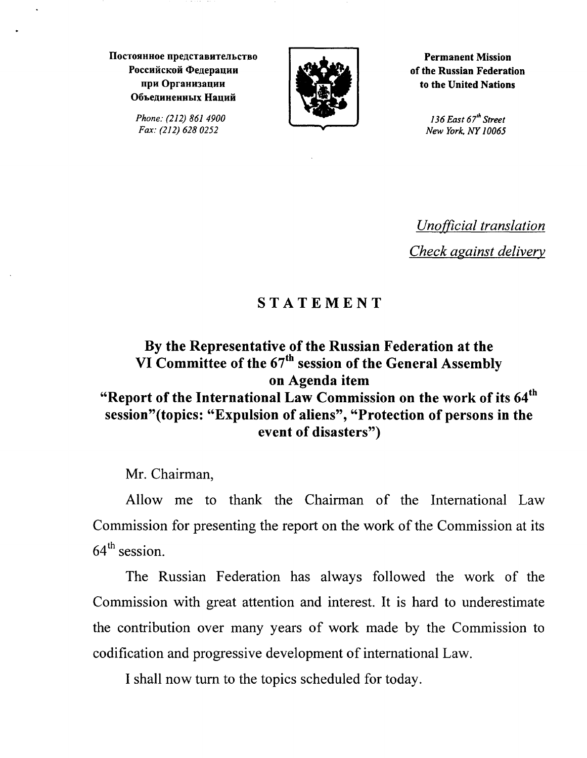**IloCTOJIHHOe npe]lCTaBHTeJibCTBO**  Российской Фелерации при Организации Объединенных На**ций** 

> *Phone: (212) 861 4900 Fax: (212) 628 0252*



**Permanent Mission of the Russian Federation to the United Nations** 

> *136 East 67'h Street New York, NY 10065*

*Unofficial translation Check against delivery* 

## **STATEMENT**

## **By the Representative of the Russian Federation at the VI Committee of the 67th session of the General Assembly on Agenda item "Report of the International Law Commission on the work of its 64th session"(topics: "Expulsion of aliens", "Protection of persons in the event of disasters")**

Mr. Chairman,

Allow me to thank the Chairman of the International Law Commission for presenting the report on the work of the Commission at its  $64<sup>th</sup>$  session.

The Russian Federation has always followed the work of the Commission with great attention and interest. It is hard to underestimate the contribution over many years of work made by the Commission to codification and progressive development of international Law.

I shall now turn to the topics scheduled for today.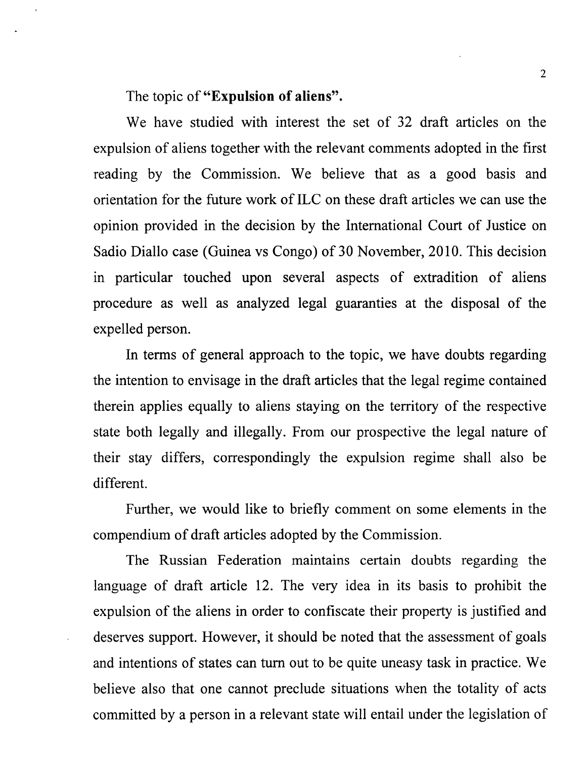The topic of **"Expulsion of aliens".** 

We have studied with interest the set of 32 draft articles on the expulsion of aliens together with the relevant comments adopted in the first reading by the Commission. We believe that as a good basis and orientation for the future work of ILC on these draft articles we can use the opinion provided in the decision by the International Court of Justice on Sadio Diallo case (Guinea vs Congo) of 30 November, 2010. This decision in particular touched upon several aspects of extradition of aliens procedure as well as analyzed legal guaranties at the disposal of the expelled person.

In terms of general approach to the topic, we have doubts regarding the intention to envisage in the draft articles that the legal regime contained therein applies equally to aliens staying on the territory of the respective state both legally and illegally. From our prospective the legal nature of their stay differs, correspondingly the expulsion regime shall also be different.

Further, we would like to briefly comment on some elements in the compendium of draft articles adopted by the Commission.

The Russian Federation maintains certain doubts regarding the language of draft article 12. The very idea in its basis to prohibit the expulsion of the aliens in order to confiscate their property is justified and deserves support. However, it should be noted that the assessment of goals and intentions of states can tum out to be quite uneasy task in practice. We believe also that one cannot preclude situations when the totality of acts committed by a person in a relevant state will entail under the legislation of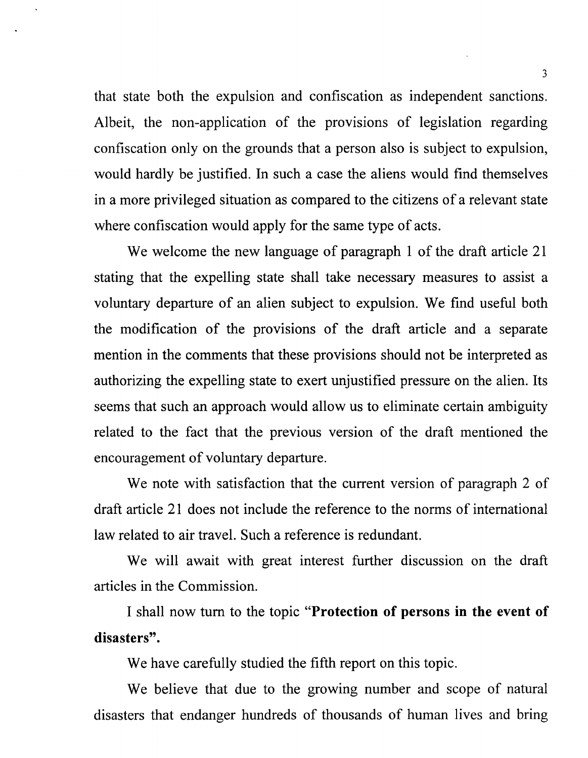that state both the expulsion and confiscation as independent sanctions. Albeit, the non-application of the provisions of legislation regarding confiscation only on the grounds that a person also is subject to expulsion, would hardly be justified. In such a case the aliens would find themselves in a more privileged situation as compared to the citizens of a relevant state where confiscation would apply for the same type of acts.

We welcome the new language of paragraph 1 of the draft article 21 stating that the expelling state shall take necessary measures to assist a voluntary departure of an alien subject to expulsion. We find useful both the modification of the provisions of the draft article and a separate mention in the comments that these provisions should not be interpreted as authorizing the expelling state to exert unjustified pressure on the alien. Its seems that such an approach would allow us to eliminate certain ambiguity related to the fact that the previous version of the draft mentioned the encouragement of voluntary departure.

We note with satisfaction that the current version of paragraph 2 of draft article 21 does not include the reference to the norms of international law related to air travel. Such a reference is redundant.

We will await with great interest further discussion on the draft articles in the Commission.

I shall now tum to the topic **"Protection of persons in the event of disasters".** 

We have carefully studied the fifth report on this topic.

We believe that due to the growing number and scope of natural disasters that endanger hundreds of thousands of human lives and bring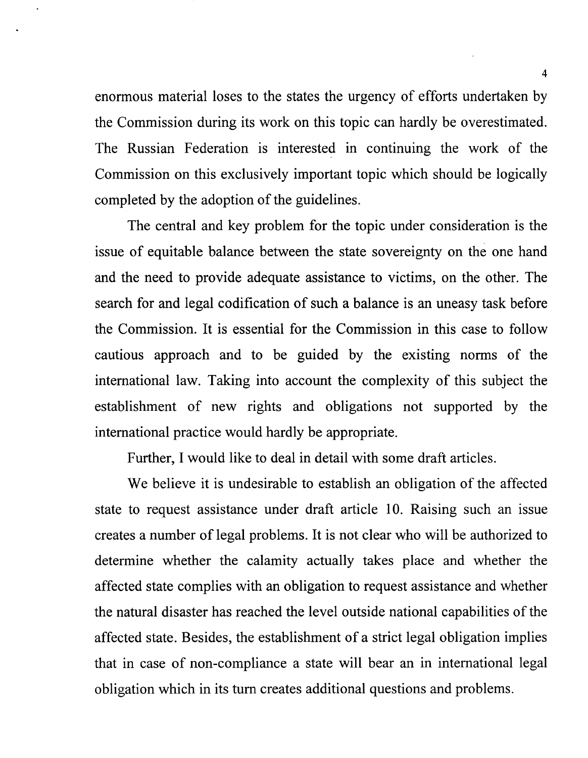enormous material loses to the states the urgency of efforts undertaken by the Commission during its work on this topic can hardly be overestimated. The Russian Federation is interested in continuing the work of the Commission on this exclusively important topic which should be logically completed by the adoption of the guidelines.

The central and key problem for the topic under consideration is the issue of equitable balance between the state sovereignty on the one hand and the need to provide adequate assistance to victims, on the other. The search for and legal codification of such a balance is an uneasy task before the Commission. It is essential for the Commission in this case to follow cautious approach and to be guided by the existing norms of the international law. Taking into account the complexity of this subject the establishment of new rights and obligations not supported by the international practice would hardly be appropriate.

Further, I would like to deal in detail with some draft articles.

We believe it is undesirable to establish an obligation of the affected state to request assistance under draft article 10. Raising such an issue creates a number of legal problems. It is not clear who will be authorized to determine whether the calamity actually takes place and whether the affected state complies with an obligation to request assistance and whether the natural disaster has reached the level outside national capabilities of the affected state. Besides, the establishment of a strict legal obligation implies that in case of non-compliance a state will bear an in international legal obligation which in its tum creates additional questions and problems.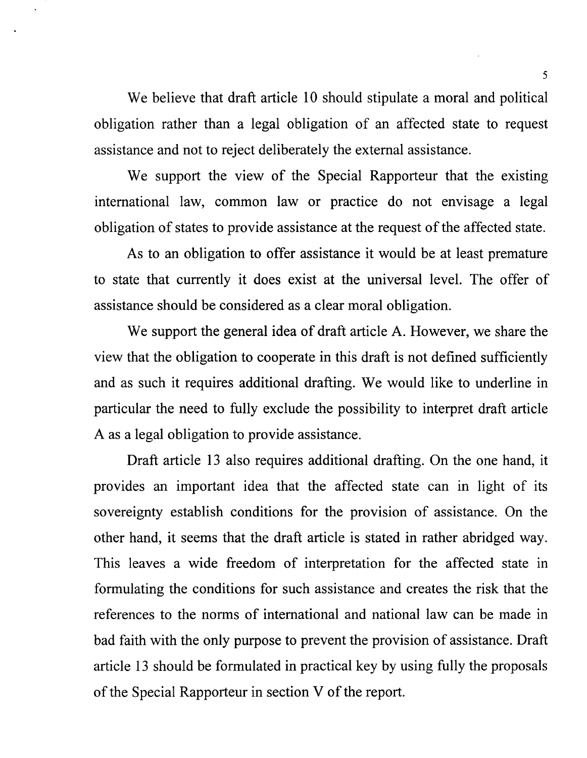We believe that draft article 10 should stipulate a moral and political obligation rather than a legal obligation of an affected state to request assistance and not to reject deliberately the external assistance.

We support the view of the Special Rapporteur that the existing international law, common law or practice do not envisage a legal obligation of states to provide assistance at the request of the affected state.

As to an obligation to offer assistance it would be at least premature to state that currently it does exist at the universal level. The offer of assistance should be considered as a clear moral obligation.

We support the general idea of draft article A. However, we share the view that the obligation to cooperate in this draft is not defined sufficiently and as such it requires additional drafting. We would like to underline in particular the need to fully exclude the possibility to interpret draft article A as a legal obligation to provide assistance.

Draft article 13 also requires additional drafting. On the one hand, it provides an important idea that the affected state can in light of its sovereignty establish conditions for the provision of assistance. On the other hand, it seems that the draft article is stated in rather abridged way. This leaves a wide freedom of interpretation for the affected state in formulating the conditions for such assistance and creates the risk that the references to the norms of international and national law can be made in bad faith with the only purpose to prevent the provision of assistance. Draft article 13 should be formulated in practical key by using fully the proposals of the Special Rapporteur in section V of the report.